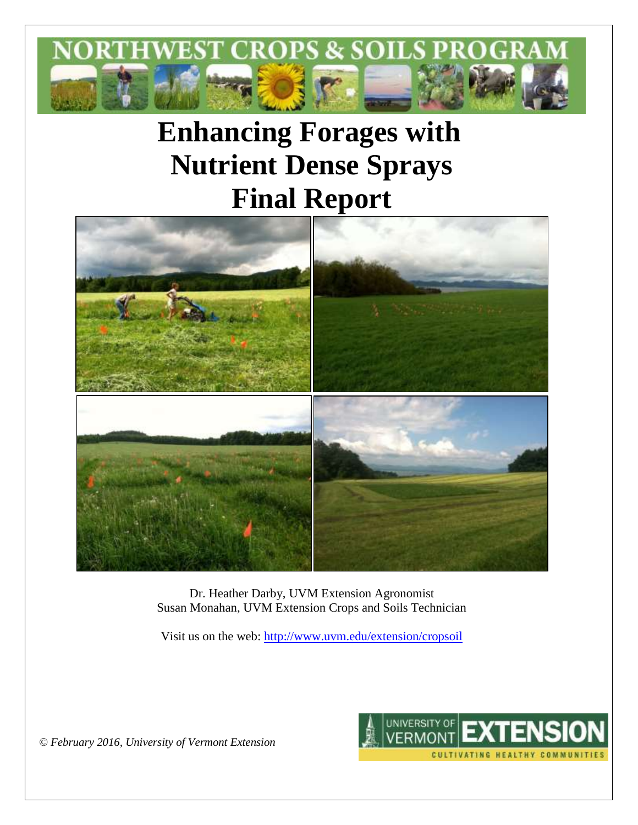

# **Enhancing Forages with Nutrient Dense Sprays Final Report**



Dr. Heather Darby, UVM Extension Agronomist Susan Monahan, UVM Extension Crops and Soils Technician

Visit us on the web: <http://www.uvm.edu/extension/cropsoil>



*© February 2016, University of Vermont Extension*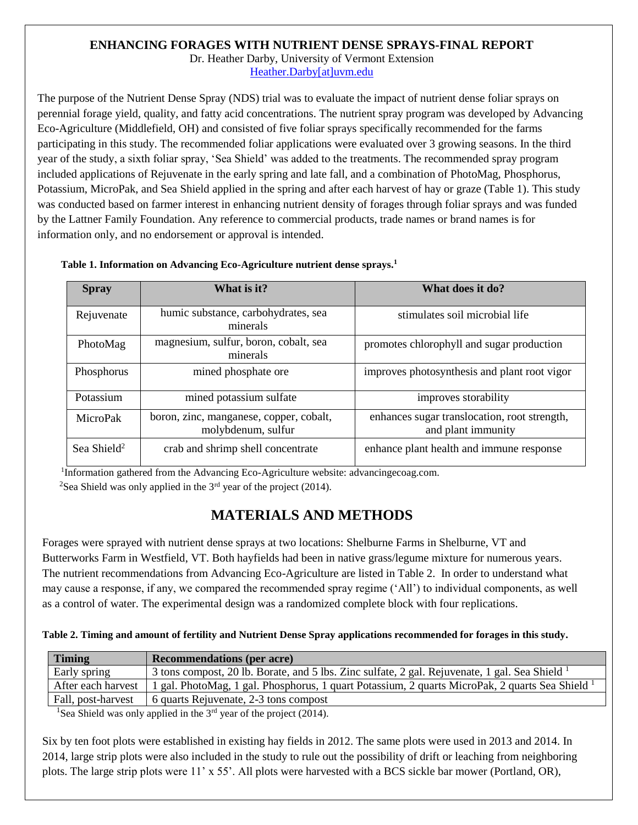# **ENHANCING FORAGES WITH NUTRIENT DENSE SPRAYS-FINAL REPORT**

Dr. Heather Darby, University of Vermont Extension [Heather.Darby\[at\]uvm.edu](mailto:Heather.Darby@uvm.edu)

The purpose of the Nutrient Dense Spray (NDS) trial was to evaluate the impact of nutrient dense foliar sprays on perennial forage yield, quality, and fatty acid concentrations. The nutrient spray program was developed by Advancing Eco-Agriculture (Middlefield, OH) and consisted of five foliar sprays specifically recommended for the farms participating in this study. The recommended foliar applications were evaluated over 3 growing seasons. In the third year of the study, a sixth foliar spray, 'Sea Shield' was added to the treatments. The recommended spray program included applications of Rejuvenate in the early spring and late fall, and a combination of PhotoMag, Phosphorus, Potassium, MicroPak, and Sea Shield applied in the spring and after each harvest of hay or graze (Table 1). This study was conducted based on farmer interest in enhancing nutrient density of forages through foliar sprays and was funded by the Lattner Family Foundation. Any reference to commercial products, trade names or brand names is for information only, and no endorsement or approval is intended.

| <b>Spray</b>            | What is it?                                                   | What does it do?                                                   |
|-------------------------|---------------------------------------------------------------|--------------------------------------------------------------------|
| Rejuvenate              | humic substance, carbohydrates, sea<br>minerals               | stimulates soil microbial life                                     |
| PhotoMag                | magnesium, sulfur, boron, cobalt, sea<br>minerals             | promotes chlorophyll and sugar production                          |
| Phosphorus              | mined phosphate ore                                           | improves photosynthesis and plant root vigor                       |
| Potassium               | mined potassium sulfate                                       | improves storability                                               |
| MicroPak                | boron, zinc, manganese, copper, cobalt,<br>molybdenum, sulfur | enhances sugar translocation, root strength,<br>and plant immunity |
| Sea Shield <sup>2</sup> | crab and shrimp shell concentrate                             | enhance plant health and immune response                           |

**Table 1. Information on Advancing Eco-Agriculture nutrient dense sprays.<sup>1</sup>**

<sup>1</sup>Information gathered from the Advancing Eco-Agriculture website: advancingecoag.com.

<sup>2</sup>Sea Shield was only applied in the  $3<sup>rd</sup>$  year of the project (2014).

# **MATERIALS AND METHODS**

Forages were sprayed with nutrient dense sprays at two locations: Shelburne Farms in Shelburne, VT and Butterworks Farm in Westfield, VT. Both hayfields had been in native grass/legume mixture for numerous years. The nutrient recommendations from Advancing Eco-Agriculture are listed in Table 2. In order to understand what may cause a response, if any, we compared the recommended spray regime ('All') to individual components, as well as a control of water. The experimental design was a randomized complete block with four replications.

**Table 2. Timing and amount of fertility and Nutrient Dense Spray applications recommended for forages in this study.**

| <b>Timing</b>      | <b>Recommendations (per acre)</b>                                                                          |
|--------------------|------------------------------------------------------------------------------------------------------------|
| Early spring       | 3 tons compost, 20 lb. Borate, and 5 lbs. Zinc sulfate, 2 gal. Rejuvenate, 1 gal. Sea Shield <sup>1</sup>  |
| After each harvest | 1 gal. PhotoMag, 1 gal. Phosphorus, 1 quart Potassium, 2 quarts MicroPak, 2 quarts Sea Shield <sup>1</sup> |
| Fall, post-harvest | 6 quarts Rejuvenate, 2-3 tons compost                                                                      |

<sup>1</sup>Sea Shield was only applied in the  $3<sup>rd</sup>$  year of the project (2014).

Six by ten foot plots were established in existing hay fields in 2012. The same plots were used in 2013 and 2014. In 2014, large strip plots were also included in the study to rule out the possibility of drift or leaching from neighboring plots. The large strip plots were 11' x 55'. All plots were harvested with a BCS sickle bar mower (Portland, OR),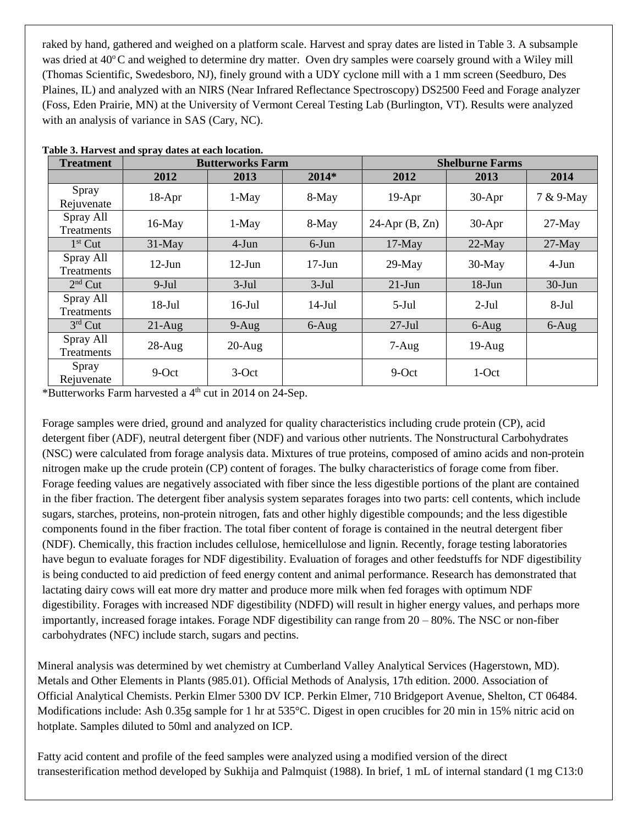raked by hand, gathered and weighed on a platform scale. Harvest and spray dates are listed in Table 3. A subsample was dried at  $40^{\circ}$ C and weighed to determine dry matter. Oven dry samples were coarsely ground with a Wiley mill (Thomas Scientific, Swedesboro, NJ), finely ground with a UDY cyclone mill with a 1 mm screen (Seedburo, Des Plaines, IL) and analyzed with an NIRS (Near Infrared Reflectance Spectroscopy) DS2500 Feed and Forage analyzer (Foss, Eden Prairie, MN) at the University of Vermont Cereal Testing Lab (Burlington, VT). Results were analyzed with an analysis of variance in SAS (Cary, NC).

| <b>Treatment</b>               | <b>Butterworks Farm</b> |                        |           | <b>Shelburne Farms</b> |           |           |  |
|--------------------------------|-------------------------|------------------------|-----------|------------------------|-----------|-----------|--|
|                                | 2012                    | 2013                   | $2014*$   | 2012                   | 2013      | 2014      |  |
| Spray<br>Rejuvenate            | $18-Apr$                | 1-May                  | 8-May     | $19-Apr$               | $30-Apr$  | 7 & 9-May |  |
| Spray All<br><b>Treatments</b> | $16$ -May               | $1-May$                | 8-May     | $24$ -Apr $(B, Zn)$    | $30-Apr$  | $27-May$  |  |
| $1st$ Cut                      | $31$ -May               | $4-Jun$                | $6$ -Jun  | $17$ -May              | $22$ -May | $27$ -May |  |
| Spray All<br>Treatments        | $12$ -Jun               | $12$ -Jun              | $17$ -Jun | $29$ -May              | $30-May$  | $4-Jun$   |  |
| $2nd$ Cut                      | $9-Jul$                 | $3-Jul$                | $3-Jul$   | $21-Jun$               | $18$ -Jun | $30$ -Jun |  |
| Spray All<br>Treatments        | $18$ -Jul               | $16$ -Jul<br>$14$ -Jul |           | $5-Jul$                | $2-Jul$   | $8-Jul$   |  |
| $3rd$ Cut                      | $21-Aug$                | $9-Aug$                | $6-Aug$   | $27-Jul$               | $6 - Aug$ | $6-Aug$   |  |
| Spray All<br>Treatments        | $28$ -Aug               | $20-Aug$               |           | $7-Aug$                | $19-Aug$  |           |  |
| Spray<br>Rejuvenate            | 9-Oct                   | $3-Oct$                |           | 9-Oct                  | 1-Oct     |           |  |

\*Butterworks Farm harvested a 4th cut in 2014 on 24-Sep.

Forage samples were dried, ground and analyzed for quality characteristics including crude protein (CP), acid detergent fiber (ADF), neutral detergent fiber (NDF) and various other nutrients. The Nonstructural Carbohydrates (NSC) were calculated from forage analysis data. Mixtures of true proteins, composed of amino acids and non-protein nitrogen make up the crude protein (CP) content of forages. The bulky characteristics of forage come from fiber. Forage feeding values are negatively associated with fiber since the less digestible portions of the plant are contained in the fiber fraction. The detergent fiber analysis system separates forages into two parts: cell contents, which include sugars, starches, proteins, non-protein nitrogen, fats and other highly digestible compounds; and the less digestible components found in the fiber fraction. The total fiber content of forage is contained in the neutral detergent fiber (NDF). Chemically, this fraction includes cellulose, hemicellulose and lignin. Recently, forage testing laboratories have begun to evaluate forages for NDF digestibility. Evaluation of forages and other feedstuffs for NDF digestibility is being conducted to aid prediction of feed energy content and animal performance. Research has demonstrated that lactating dairy cows will eat more dry matter and produce more milk when fed forages with optimum NDF digestibility. Forages with increased NDF digestibility (NDFD) will result in higher energy values, and perhaps more importantly, increased forage intakes. Forage NDF digestibility can range from 20 – 80%. The NSC or non-fiber carbohydrates (NFC) include starch, sugars and pectins.

Mineral analysis was determined by wet chemistry at Cumberland Valley Analytical Services (Hagerstown, MD). Metals and Other Elements in Plants (985.01). Official Methods of Analysis, 17th edition. 2000. Association of Official Analytical Chemists. Perkin Elmer 5300 DV ICP. Perkin Elmer, 710 Bridgeport Avenue, Shelton, CT 06484. Modifications include: Ash 0.35g sample for 1 hr at 535°C. Digest in open crucibles for 20 min in 15% nitric acid on hotplate. Samples diluted to 50ml and analyzed on ICP.

Fatty acid content and profile of the feed samples were analyzed using a modified version of the direct transesterification method developed by Sukhija and Palmquist (1988). In brief, 1 mL of internal standard (1 mg C13:0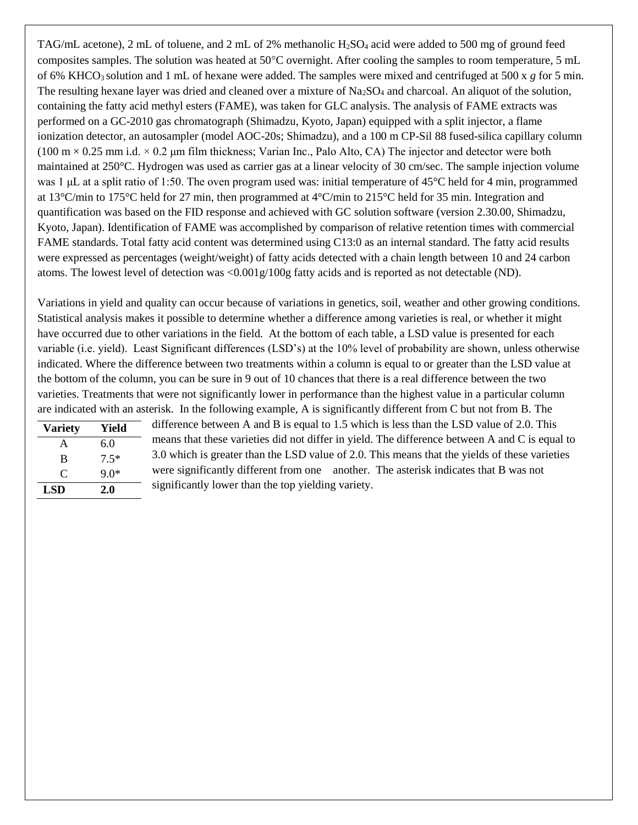TAG/mL acetone), 2 mL of toluene, and 2 mL of 2% methanolic  $H_2SO_4$  acid were added to 500 mg of ground feed composites samples. The solution was heated at  $50^{\circ}$ C overnight. After cooling the samples to room temperature, 5 mL of 6% KHCO3 solution and 1 mL of hexane were added. The samples were mixed and centrifuged at 500 x *g* for 5 min. The resulting hexane layer was dried and cleaned over a mixture of  $Na<sub>2</sub>SO<sub>4</sub>$  and charcoal. An aliquot of the solution, containing the fatty acid methyl esters (FAME), was taken for GLC analysis. The analysis of FAME extracts was performed on a GC-2010 gas chromatograph (Shimadzu, Kyoto, Japan) equipped with a split injector, a flame ionization detector, an autosampler (model AOC-20s; Shimadzu), and a 100 m CP-Sil 88 fused-silica capillary column  $(100 \text{ m} \times 0.25 \text{ mm i.d.} \times 0.2 \text{ µm film thickness}$ ; Varian Inc., Palo Alto, CA) The injector and detector were both maintained at 250°C. Hydrogen was used as carrier gas at a linear velocity of 30 cm/sec. The sample injection volume was 1 μL at a split ratio of 1:50. The oven program used was: initial temperature of 45°C held for 4 min, programmed at 13°C/min to 175°C held for 27 min, then programmed at 4°C/min to 215°C held for 35 min. Integration and quantification was based on the FID response and achieved with GC solution software (version 2.30.00, Shimadzu, Kyoto, Japan). Identification of FAME was accomplished by comparison of relative retention times with commercial FAME standards. Total fatty acid content was determined using C13:0 as an internal standard. The fatty acid results were expressed as percentages (weight/weight) of fatty acids detected with a chain length between 10 and 24 carbon atoms. The lowest level of detection was <0.001g/100g fatty acids and is reported as not detectable (ND).

Variations in yield and quality can occur because of variations in genetics, soil, weather and other growing conditions. Statistical analysis makes it possible to determine whether a difference among varieties is real, or whether it might have occurred due to other variations in the field. At the bottom of each table, a LSD value is presented for each variable (i.e. yield). Least Significant differences (LSD's) at the 10% level of probability are shown, unless otherwise indicated. Where the difference between two treatments within a column is equal to or greater than the LSD value at the bottom of the column, you can be sure in 9 out of 10 chances that there is a real difference between the two varieties. Treatments that were not significantly lower in performance than the highest value in a particular column are indicated with an asterisk. In the following example, A is significantly different from C but not from B. The

| <b>Variety</b> | Yield  |
|----------------|--------|
| A              | 6.0    |
| B              | $7.5*$ |
| $\subset$      | $9.0*$ |
| LSD            | 2.0    |

difference between A and B is equal to 1.5 which is less than the LSD value of 2.0. This means that these varieties did not differ in yield. The difference between A and C is equal to 3.0 which is greater than the LSD value of 2.0. This means that the yields of these varieties were significantly different from one another. The asterisk indicates that B was not significantly lower than the top yielding variety.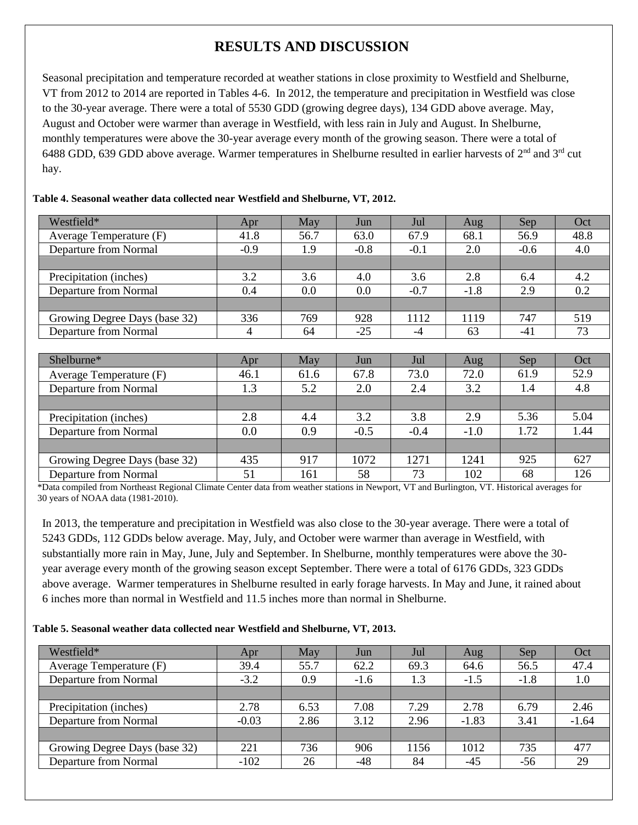# **RESULTS AND DISCUSSION**

Seasonal precipitation and temperature recorded at weather stations in close proximity to Westfield and Shelburne, VT from 2012 to 2014 are reported in Tables 4-6. In 2012, the temperature and precipitation in Westfield was close to the 30-year average. There were a total of 5530 GDD (growing degree days), 134 GDD above average. May, August and October were warmer than average in Westfield, with less rain in July and August. In Shelburne, monthly temperatures were above the 30-year average every month of the growing season. There were a total of 6488 GDD, 639 GDD above average. Warmer temperatures in Shelburne resulted in earlier harvests of  $2^{nd}$  and  $3^{rd}$  cut hay.

| Westfield*                    | Apr    | May  | Jun    | Jul    | Aug    | Sep    | Oct  |
|-------------------------------|--------|------|--------|--------|--------|--------|------|
| Average Temperature (F)       | 41.8   | 56.7 | 63.0   | 67.9   | 68.1   | 56.9   | 48.8 |
| Departure from Normal         | $-0.9$ | 1.9  | $-0.8$ | $-0.1$ | 2.0    | $-0.6$ | 4.0  |
|                               |        |      |        |        |        |        |      |
| Precipitation (inches)        | 3.2    | 3.6  | 4.0    | 3.6    | 2.8    | 6.4    | 4.2  |
| <b>Departure from Normal</b>  | 0.4    | 0.0  | 0.0    | $-0.7$ | $-1.8$ | 2.9    | 0.2  |
|                               |        |      |        |        |        |        |      |
| Growing Degree Days (base 32) | 336    | 769  | 928    | 1112   | 1119   | 747    | 519  |
| <b>Departure from Normal</b>  | 4      | 64   | $-25$  | $-4$   | 63     | -41    | 73   |
|                               |        |      |        |        |        |        |      |
|                               |        |      |        |        |        |        |      |
| Shelburne*                    | Apr    | May  | Jun    | Jul    | Aug    | Sep    | Oct  |
| Average Temperature (F)       | 46.1   | 61.6 | 67.8   | 73.0   | 72.0   | 61.9   | 52.9 |
| <b>Departure from Normal</b>  | 1.3    | 5.2  | 2.0    | 2.4    | 3.2    | 1.4    | 4.8  |
|                               |        |      |        |        |        |        |      |
| Precipitation (inches)        | 2.8    | 4.4  | 3.2    | 3.8    | 2.9    | 5.36   | 5.04 |
| <b>Departure from Normal</b>  | 0.0    | 0.9  | $-0.5$ | $-0.4$ | $-1.0$ | 1.72   | 1.44 |
|                               |        |      |        |        |        |        |      |
| Growing Degree Days (base 32) | 435    | 917  | 1072   | 1271   | 1241   | 925    | 627  |

#### **Table 4. Seasonal weather data collected near Westfield and Shelburne, VT, 2012.**

\*Data compiled from Northeast Regional Climate Center data from weather stations in Newport, VT and Burlington, VT. Historical averages for 30 years of NOAA data (1981-2010).

In 2013, the temperature and precipitation in Westfield was also close to the 30-year average. There were a total of 5243 GDDs, 112 GDDs below average. May, July, and October were warmer than average in Westfield, with substantially more rain in May, June, July and September. In Shelburne, monthly temperatures were above the 30 year average every month of the growing season except September. There were a total of 6176 GDDs, 323 GDDs above average. Warmer temperatures in Shelburne resulted in early forage harvests. In May and June, it rained about 6 inches more than normal in Westfield and 11.5 inches more than normal in Shelburne.

## **Table 5. Seasonal weather data collected near Westfield and Shelburne, VT, 2013.**

| Westfield*                    | Apr     | May  | Jun    | Jul  | Aug     | Sep    | Oct     |
|-------------------------------|---------|------|--------|------|---------|--------|---------|
| Average Temperature (F)       | 39.4    | 55.7 | 62.2   | 69.3 | 64.6    | 56.5   | 47.4    |
| Departure from Normal         | $-3.2$  | 0.9  | $-1.6$ | 1.3  | $-1.5$  | $-1.8$ | 1.0     |
|                               |         |      |        |      |         |        |         |
| Precipitation (inches)        | 2.78    | 6.53 | 7.08   | 7.29 | 2.78    | 6.79   | 2.46    |
| Departure from Normal         | $-0.03$ | 2.86 | 3.12   | 2.96 | $-1.83$ | 3.41   | $-1.64$ |
|                               |         |      |        |      |         |        |         |
| Growing Degree Days (base 32) | 221     | 736  | 906    | 156  | 1012    | 735    | 477     |
| Departure from Normal         | $-102$  | 26   | -48    | 84   | -45     | -56    | 29      |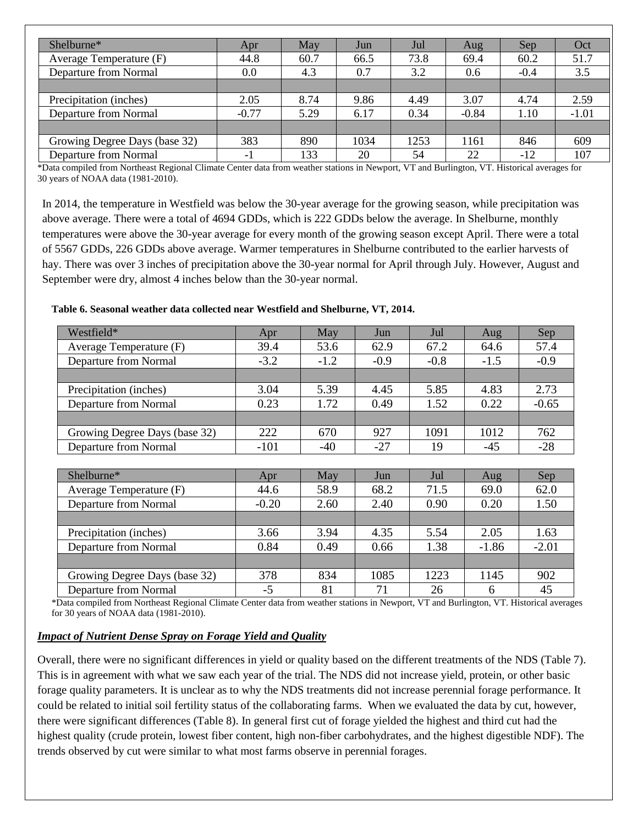| Shelburne*                    | Apr     | May  | Jun  | Jul  | Aug     | Sep    | Oct     |
|-------------------------------|---------|------|------|------|---------|--------|---------|
| Average Temperature (F)       | 44.8    | 60.7 | 66.5 | 73.8 | 69.4    | 60.2   | 51.7    |
| Departure from Normal         | 0.0     | 4.3  | 0.7  | 3.2  | 0.6     | $-0.4$ | 3.5     |
|                               |         |      |      |      |         |        |         |
| Precipitation (inches)        | 2.05    | 8.74 | 9.86 | 4.49 | 3.07    | 4.74   | 2.59    |
| Departure from Normal         | $-0.77$ | 5.29 | 6.17 | 0.34 | $-0.84$ | 1.10   | $-1.01$ |
|                               |         |      |      |      |         |        |         |
| Growing Degree Days (base 32) | 383     | 890  | 1034 | 1253 | 1161    | 846    | 609     |
| Departure from Normal         | $-1$    | 133  | 20   | 54   | 22      | -12    | 107     |

\*Data compiled from Northeast Regional Climate Center data from weather stations in Newport, VT and Burlington, VT. Historical averages for 30 years of NOAA data (1981-2010).

In 2014, the temperature in Westfield was below the 30-year average for the growing season, while precipitation was above average. There were a total of 4694 GDDs, which is 222 GDDs below the average. In Shelburne, monthly temperatures were above the 30-year average for every month of the growing season except April. There were a total of 5567 GDDs, 226 GDDs above average. Warmer temperatures in Shelburne contributed to the earlier harvests of hay. There was over 3 inches of precipitation above the 30-year normal for April through July. However, August and September were dry, almost 4 inches below than the 30-year normal.

**Table 6. Seasonal weather data collected near Westfield and Shelburne, VT, 2014.**

| Westfield*                    | Apr    | May    | Jun    | Jul    | Aug    | Sep     |
|-------------------------------|--------|--------|--------|--------|--------|---------|
| Average Temperature (F)       | 39.4   | 53.6   | 62.9   | 67.2   | 64.6   | 57.4    |
| Departure from Normal         | $-3.2$ | $-1.2$ | $-0.9$ | $-0.8$ | $-1.5$ | $-0.9$  |
|                               |        |        |        |        |        |         |
| Precipitation (inches)        | 3.04   | 5.39   | 4.45   | 5.85   | 4.83   | 2.73    |
| Departure from Normal         | 0.23   | 1.72   | 0.49   | 1.52   | 0.22   | $-0.65$ |
|                               |        |        |        |        |        |         |
| Growing Degree Days (base 32) | 222    | 670    | 927    | 1091   | 1012   | 762     |
| Departure from Normal         | $-101$ | -40    | $-27$  | 19     | $-45$  | $-28$   |
|                               |        |        |        |        |        |         |

| Shelburne*                    | Apr     | May  | Jun  | Jul  | Aug     | Sep     |
|-------------------------------|---------|------|------|------|---------|---------|
| Average Temperature (F)       | 44.6    | 58.9 | 68.2 | 71.5 | 69.0    | 62.0    |
| Departure from Normal         | $-0.20$ | 2.60 | 2.40 | 0.90 | 0.20    | 1.50    |
|                               |         |      |      |      |         |         |
| Precipitation (inches)        | 3.66    | 3.94 | 4.35 | 5.54 | 2.05    | 1.63    |
| Departure from Normal         | 0.84    | 0.49 | 0.66 | 1.38 | $-1.86$ | $-2.01$ |
|                               |         |      |      |      |         |         |
| Growing Degree Days (base 32) | 378     | 834  | 1085 | 1223 | 1145    | 902     |
| Departure from Normal         | $-5$    | 81   | 71   | 26   | 6       | 45      |

\*Data compiled from Northeast Regional Climate Center data from weather stations in Newport, VT and Burlington, VT. Historical averages for 30 years of NOAA data (1981-2010).

## *Impact of Nutrient Dense Spray on Forage Yield and Quality*

Overall, there were no significant differences in yield or quality based on the different treatments of the NDS (Table 7). This is in agreement with what we saw each year of the trial. The NDS did not increase yield, protein, or other basic forage quality parameters. It is unclear as to why the NDS treatments did not increase perennial forage performance. It could be related to initial soil fertility status of the collaborating farms. When we evaluated the data by cut, however, there were significant differences (Table 8). In general first cut of forage yielded the highest and third cut had the highest quality (crude protein, lowest fiber content, high non-fiber carbohydrates, and the highest digestible NDF). The trends observed by cut were similar to what most farms observe in perennial forages.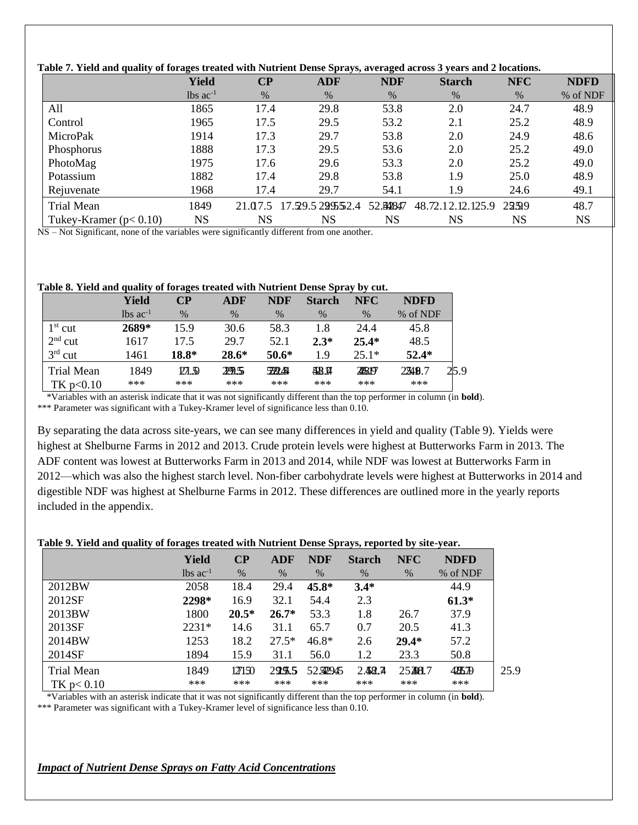| Table 7. Yield and quality of forages treated with Nutrient Dense Sprays, averaged across 3 years and 2 locations. |                        |           |                 |            |                   |            |             |  |  |
|--------------------------------------------------------------------------------------------------------------------|------------------------|-----------|-----------------|------------|-------------------|------------|-------------|--|--|
|                                                                                                                    | <b>Yield</b>           | $\bf CP$  | <b>ADF</b>      | <b>NDF</b> | <b>Starch</b>     | <b>NFC</b> | <b>NDFD</b> |  |  |
|                                                                                                                    | $lbs$ ac <sup>-1</sup> | $\%$      | $\%$            | $\%$       | $\%$              | $\%$       | % of NDF    |  |  |
| All                                                                                                                | 1865                   | 17.4      | 29.8            | 53.8       | 2.0               | 24.7       | 48.9        |  |  |
| Control                                                                                                            | 1965                   | 17.5      | 29.5            | 53.2       | 2.1               | 25.2       | 48.9        |  |  |
| MicroPak                                                                                                           | 1914                   | 17.3      | 29.7            | 53.8       | 2.0               | 24.9       | 48.6        |  |  |
| Phosphorus                                                                                                         | 1888                   | 17.3      | 29.5            | 53.6       | 2.0               | 25.2       | 49.0        |  |  |
| PhotoMag                                                                                                           | 1975                   | 17.6      | 29.6            | 53.3       | 2.0               | 25.2       | 49.0        |  |  |
| Potassium                                                                                                          | 1882                   | 17.4      | 29.8            | 53.8       | 1.9               | 25.0       | 48.9        |  |  |
| Rejuvenate                                                                                                         | 1968                   | 17.4      | 29.7            | 54.1       | 1.9               | 24.6       | 49.1        |  |  |
| Trial Mean                                                                                                         | 1849                   | 21.07.5   | 17.59.5299552.4 | 52.542847  | 48.72.12.12.125.9 | 2299       | 48.7        |  |  |
| Tukey-Kramer $(p< 0.10)$                                                                                           | <b>NS</b>              | <b>NS</b> | <b>NS</b>       | NS         | NS                | <b>NS</b>  | <b>NS</b>   |  |  |

NS – Not Significant, none of the variables were significantly different from one another.

#### **Table 8. Yield and quality of forages treated with Nutrient Dense Spray by cut.**

|            | Yield                         | $\bf CP$ | <b>ADF</b> | <b>NDF</b>     | <b>Starch</b> | <b>NFC</b> | <b>NDFD</b> |      |
|------------|-------------------------------|----------|------------|----------------|---------------|------------|-------------|------|
|            | $\text{lbs}$ ac <sup>-1</sup> | $\%$     | $\%$       | $\%$           | $\%$          | $\%$       | % of NDF    |      |
| $1st$ cut  | 2689*                         | 15.9     | 30.6       | 58.3           | 1.8           | 24.4       | 45.8        |      |
| $2nd$ cut  | 1617                          | 17 5     | 29.7       | 52.1           | $2.3*$        | $25.4*$    | 48.5        |      |
| $3rd$ cut  | 1461                          | 18.8*    | $28.6*$    | $50.6*$        | 1.9           | $25.1*$    | $52.4*$     |      |
| Trial Mean | 1849                          | 27.50    | 2P.S       | <u> 599451</u> | 48.H          | 228197     | 2349.7      | 25.9 |
| TK p<0.10  | ***                           | ***      | ***        | ***            | ***           | ***        | ***         |      |

\*Variables with an asterisk indicate that it was not significantly different than the top performer in column (in **bold**).

\*\*\* Parameter was significant with a Tukey-Kramer level of significance less than 0.10.

By separating the data across site-years, we can see many differences in yield and quality (Table 9). Yields were highest at Shelburne Farms in 2012 and 2013. Crude protein levels were highest at Butterworks Farm in 2013. The ADF content was lowest at Butterworks Farm in 2013 and 2014, while NDF was lowest at Butterworks Farm in 2012—which was also the highest starch level. Non-fiber carbohydrate levels were highest at Butterworks in 2014 and digestible NDF was highest at Shelburne Farms in 2012. These differences are outlined more in the yearly reports included in the appendix.

#### **Table 9. Yield and quality of forages treated with Nutrient Dense Sprays, reported by site-year.**

|             | <b>Yield</b>           | $\bf CP$ | ADF     | <b>NDF</b> | <b>Starch</b> | <b>NFC</b> | <b>NDFD</b> |      |
|-------------|------------------------|----------|---------|------------|---------------|------------|-------------|------|
|             | $lbs$ ac <sup>-1</sup> | $\%$     | $\%$    | $\%$       | $\%$          | %          | % of NDF    |      |
| 2012BW      | 2058                   | 18.4     | 29.4    | $45.8*$    | $3.4*$        |            | 44.9        |      |
| 2012SF      | 2298*                  | 16.9     | 32.1    | 54.4       | 2.3           |            | $61.3*$     |      |
| 2013BW      | 1800                   | $20.5*$  | $26.7*$ | 53.3       | 1.8           | 26.7       | 37.9        |      |
| 2013SF      | 2231*                  | 14.6     | 31.1    | 65.7       | 0.7           | 20.5       | 41.3        |      |
| 2014BW      | 1253                   | 18.2     | $27.5*$ | $46.8*$    | 2.6           | $29.4*$    | 57.2        |      |
| 2014SF      | 1894                   | 15.9     | 31.1    | 56.0       | 1.2           | 23.3       | 50.8        |      |
| Trial Mean  | 1849                   | 127150   | 29.9.5  | 52522945   | 2.48.7        | 25398.7    | 425.79      | 25.9 |
| TK p < 0.10 | ***                    | ***      | ***     | ***        | ***           | ***        | ***         |      |

\*Variables with an asterisk indicate that it was not significantly different than the top performer in column (in **bold**). \*\*\* Parameter was significant with a Tukey-Kramer level of significance less than 0.10.

# *Impact of Nutrient Dense Sprays on Fatty Acid Concentrations*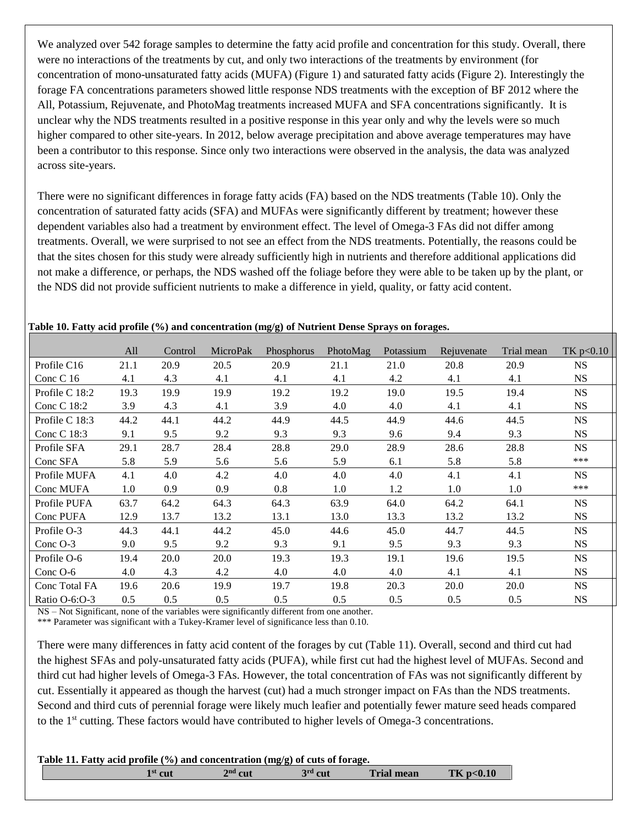We analyzed over 542 forage samples to determine the fatty acid profile and concentration for this study. Overall, there were no interactions of the treatments by cut, and only two interactions of the treatments by environment (for concentration of mono-unsaturated fatty acids (MUFA) (Figure 1) and saturated fatty acids (Figure 2). Interestingly the forage FA concentrations parameters showed little response NDS treatments with the exception of BF 2012 where the All, Potassium, Rejuvenate, and PhotoMag treatments increased MUFA and SFA concentrations significantly. It is unclear why the NDS treatments resulted in a positive response in this year only and why the levels were so much higher compared to other site-years. In 2012, below average precipitation and above average temperatures may have been a contributor to this response. Since only two interactions were observed in the analysis, the data was analyzed across site-years.

There were no significant differences in forage fatty acids (FA) based on the NDS treatments (Table 10). Only the concentration of saturated fatty acids (SFA) and MUFAs were significantly different by treatment; however these dependent variables also had a treatment by environment effect. The level of Omega-3 FAs did not differ among treatments. Overall, we were surprised to not see an effect from the NDS treatments. Potentially, the reasons could be that the sites chosen for this study were already sufficiently high in nutrients and therefore additional applications did not make a difference, or perhaps, the NDS washed off the foliage before they were able to be taken up by the plant, or the NDS did not provide sufficient nutrients to make a difference in yield, quality, or fatty acid content.

|                | All  | Control | MicroPak | Phosphorus | PhotoMag | Potassium | Rejuvenate | Trial mean | TK $p<0.10$ |
|----------------|------|---------|----------|------------|----------|-----------|------------|------------|-------------|
| Profile C16    | 21.1 | 20.9    | 20.5     | 20.9       | 21.1     | 21.0      | 20.8       | 20.9       | <b>NS</b>   |
| Conc C 16      | 4.1  | 4.3     | 4.1      | 4.1        | 4.1      | 4.2       | 4.1        | 4.1        | <b>NS</b>   |
| Profile C 18:2 | 19.3 | 19.9    | 19.9     | 19.2       | 19.2     | 19.0      | 19.5       | 19.4       | <b>NS</b>   |
| Conc C 18:2    | 3.9  | 4.3     | 4.1      | 3.9        | 4.0      | 4.0       | 4.1        | 4.1        | <b>NS</b>   |
| Profile C 18:3 | 44.2 | 44.1    | 44.2     | 44.9       | 44.5     | 44.9      | 44.6       | 44.5       | <b>NS</b>   |
| Conc C 18:3    | 9.1  | 9.5     | 9.2      | 9.3        | 9.3      | 9.6       | 9.4        | 9.3        | <b>NS</b>   |
| Profile SFA    | 29.1 | 28.7    | 28.4     | 28.8       | 29.0     | 28.9      | 28.6       | 28.8       | <b>NS</b>   |
| Conc SFA       | 5.8  | 5.9     | 5.6      | 5.6        | 5.9      | 6.1       | 5.8        | 5.8        | ***         |
| Profile MUFA   | 4.1  | 4.0     | 4.2      | 4.0        | 4.0      | 4.0       | 4.1        | 4.1        | <b>NS</b>   |
| Conc MUFA      | 1.0  | 0.9     | 0.9      | 0.8        | 1.0      | 1.2       | 1.0        | 1.0        | ***         |
| Profile PUFA   | 63.7 | 64.2    | 64.3     | 64.3       | 63.9     | 64.0      | 64.2       | 64.1       | <b>NS</b>   |
| Conc PUFA      | 12.9 | 13.7    | 13.2     | 13.1       | 13.0     | 13.3      | 13.2       | 13.2       | <b>NS</b>   |
| Profile O-3    | 44.3 | 44.1    | 44.2     | 45.0       | 44.6     | 45.0      | 44.7       | 44.5       | <b>NS</b>   |
| Conc O-3       | 9.0  | 9.5     | 9.2      | 9.3        | 9.1      | 9.5       | 9.3        | 9.3        | <b>NS</b>   |
| Profile O-6    | 19.4 | 20.0    | 20.0     | 19.3       | 19.3     | 19.1      | 19.6       | 19.5       | <b>NS</b>   |
| Conc $O-6$     | 4.0  | 4.3     | 4.2      | 4.0        | 4.0      | 4.0       | 4.1        | 4.1        | <b>NS</b>   |
| Conc Total FA  | 19.6 | 20.6    | 19.9     | 19.7       | 19.8     | 20.3      | 20.0       | 20.0       | $_{\rm NS}$ |
| Ratio O-6:O-3  | 0.5  | 0.5     | 0.5      | 0.5        | 0.5      | 0.5       | 0.5        | 0.5        | <b>NS</b>   |

**Table 10. Fatty acid profile (%) and concentration (mg/g) of Nutrient Dense Sprays on forages.** 

NS – Not Significant, none of the variables were significantly different from one another.

\*\*\* Parameter was significant with a Tukey-Kramer level of significance less than 0.10.

There were many differences in fatty acid content of the forages by cut (Table 11). Overall, second and third cut had the highest SFAs and poly-unsaturated fatty acids (PUFA), while first cut had the highest level of MUFAs. Second and third cut had higher levels of Omega-3 FAs. However, the total concentration of FAs was not significantly different by cut. Essentially it appeared as though the harvest (cut) had a much stronger impact on FAs than the NDS treatments. Second and third cuts of perennial forage were likely much leafier and potentially fewer mature seed heads compared to the 1<sup>st</sup> cutting. These factors would have contributed to higher levels of Omega-3 concentrations.

| Table 11. Fatty acid profile (%) and concentration (mg/g) of cuts of forage. |                  |           |           |                   |          |  |  |  |  |
|------------------------------------------------------------------------------|------------------|-----------|-----------|-------------------|----------|--|--|--|--|
|                                                                              | $1^{\rm st}$ cut | $2nd$ cut | $3rd$ cut | <b>Trial mean</b> | TKp<0.10 |  |  |  |  |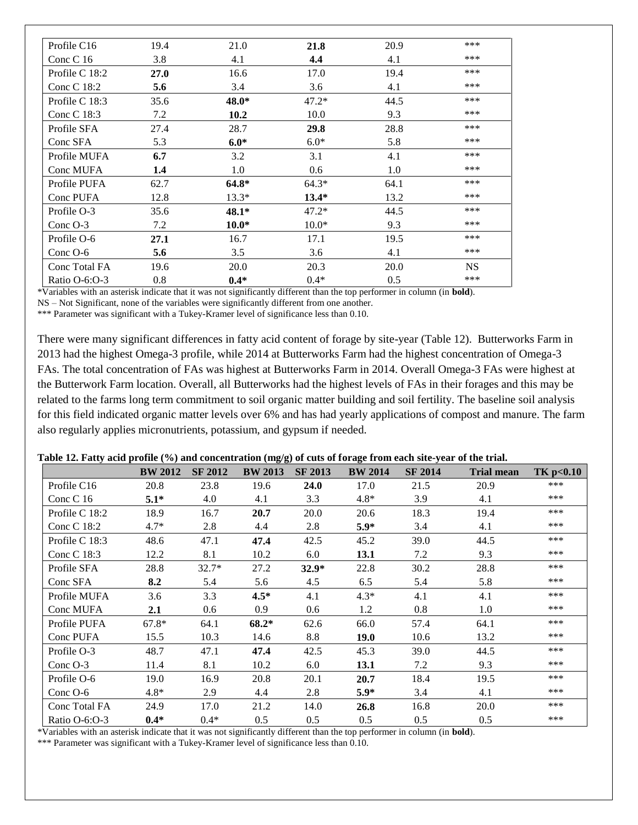| Profile C16    | 19.4 | 21.0    | 21.8    | 20.9 | *** |
|----------------|------|---------|---------|------|-----|
| Conc C $16$    | 3.8  | 4.1     | 4,4     | 4.1  | *** |
| Profile C 18:2 | 27.0 | 16.6    | 17.0    | 19.4 | *** |
| Conc C 18:2    | 5.6  | 3.4     | 3.6     | 4.1  | *** |
| Profile C 18:3 | 35.6 | 48.0*   | $47.2*$ | 44.5 | *** |
| Conc C 18:3    | 7.2  | 10.2    | 10.0    | 9.3  | *** |
| Profile SFA    | 27.4 | 28.7    | 29.8    | 28.8 | *** |
| Conc SFA       | 5.3  | $6.0*$  | $6.0*$  | 5.8  | *** |
| Profile MUFA   | 6.7  | 3.2     | 3.1     | 4.1  | *** |
| Conc MUFA      | 1.4  | 1.0     | 0.6     | 1.0  | *** |
| Profile PUFA   | 62.7 | $64.8*$ | $64.3*$ | 64.1 | *** |
| Conc PUFA      | 12.8 | $13.3*$ | $13.4*$ | 13.2 | *** |
| Profile O-3    | 35.6 | $48.1*$ | $47.2*$ | 44.5 | *** |
| Conc $O-3$     | 7.2  | $10.0*$ | $10.0*$ | 9.3  | *** |
| Profile O-6    | 27.1 | 16.7    | 17.1    | 19.5 | *** |
| Conc $O-6$     | 5.6  | 3.5     | 3.6     | 4.1  | *** |
| Conc Total FA  | 19.6 | 20.0    | 20.3    | 20.0 | NS  |
| Ratio O-6:O-3  | 0.8  | $0.4*$  | $0.4*$  | 0.5  | *** |

\*Variables with an asterisk indicate that it was not significantly different than the top performer in column (in **bold**).

NS – Not Significant, none of the variables were significantly different from one another.

\*\*\* Parameter was significant with a Tukey-Kramer level of significance less than 0.10.

There were many significant differences in fatty acid content of forage by site-year (Table 12). Butterworks Farm in 2013 had the highest Omega-3 profile, while 2014 at Butterworks Farm had the highest concentration of Omega-3 FAs. The total concentration of FAs was highest at Butterworks Farm in 2014. Overall Omega-3 FAs were highest at the Butterwork Farm location. Overall, all Butterworks had the highest levels of FAs in their forages and this may be related to the farms long term commitment to soil organic matter building and soil fertility. The baseline soil analysis for this field indicated organic matter levels over 6% and has had yearly applications of compost and manure. The farm also regularly applies micronutrients, potassium, and gypsum if needed.

|  | Table 12. Fatty acid profile (%) and concentration (mg/g) of cuts of forage from each site-year of the trial. |  |  |
|--|---------------------------------------------------------------------------------------------------------------|--|--|
|  |                                                                                                               |  |  |
|  |                                                                                                               |  |  |
|  |                                                                                                               |  |  |

|                 | <b>BW 2012</b> | <b>SF 2012</b> | <b>BW 2013</b> | <b>SF 2013</b> | <b>BW 2014</b> | <b>SF 2014</b> | <b>Trial mean</b> | TK p<0.10 |
|-----------------|----------------|----------------|----------------|----------------|----------------|----------------|-------------------|-----------|
| Profile C16     | 20.8           | 23.8           | 19.6           | 24.0           | 17.0           | 21.5           | 20.9              | ***       |
| Conc $C$ 16     | $5.1*$         | 4.0            | 4.1            | 3.3            | $4.8*$         | 3.9            | 4.1               | ***       |
| Profile C 18:2  | 18.9           | 16.7           | 20.7           | 20.0           | 20.6           | 18.3           | 19.4              | ***       |
| Conc C 18:2     | $4.7*$         | 2.8            | 4.4            | 2.8            | $5.9*$         | 3.4            | 4.1               | ***       |
| Profile C 18:3  | 48.6           | 47.1           | 47.4           | 42.5           | 45.2           | 39.0           | 44.5              | ***       |
| Conc C 18:3     | 12.2           | 8.1            | 10.2           | 6.0            | 13.1           | 7.2            | 9.3               | ***       |
| Profile SFA     | 28.8           | $32.7*$        | 27.2           | $32.9*$        | 22.8           | 30.2           | 28.8              | ***       |
| Conc SFA        | 8.2            | 5.4            | 5.6            | 4.5            | 6.5            | 5.4            | 5.8               | ***       |
| Profile MUFA    | 3.6            | 3.3            | $4.5*$         | 4.1            | $4.3*$         | 4.1            | 4.1               | ***       |
| Conc MUFA       | 2.1            | 0.6            | 0.9            | 0.6            | 1.2            | 0.8            | 1.0               | ***       |
| Profile PUFA    | $67.8*$        | 64.1           | 68.2*          | 62.6           | 66.0           | 57.4           | 64.1              | ***       |
| Conc PUFA       | 15.5           | 10.3           | 14.6           | 8.8            | <b>19.0</b>    | 10.6           | 13.2              | ***       |
| Profile O-3     | 48.7           | 47.1           | 47.4           | 42.5           | 45.3           | 39.0           | 44.5              | ***       |
| Conc $O-3$      | 11.4           | 8.1            | 10.2           | 6.0            | 13.1           | 7.2            | 9.3               | ***       |
| Profile O-6     | 19.0           | 16.9           | 20.8           | 20.1           | 20.7           | 18.4           | 19.5              | ***       |
| Conc O-6        | $4.8*$         | 2.9            | 4.4            | 2.8            | $5.9*$         | 3.4            | 4.1               | ***       |
| Conc Total FA   | 24.9           | 17.0           | 21.2           | 14.0           | 26.8           | 16.8           | 20.0              | ***       |
| Ratio $O-6:O-3$ | $0.4*$         | $0.4*$         | 0.5            | 0.5            | 0.5            | 0.5            | 0.5               | ***       |

\*Variables with an asterisk indicate that it was not significantly different than the top performer in column (in **bold**).

\*\*\* Parameter was significant with a Tukey-Kramer level of significance less than 0.10.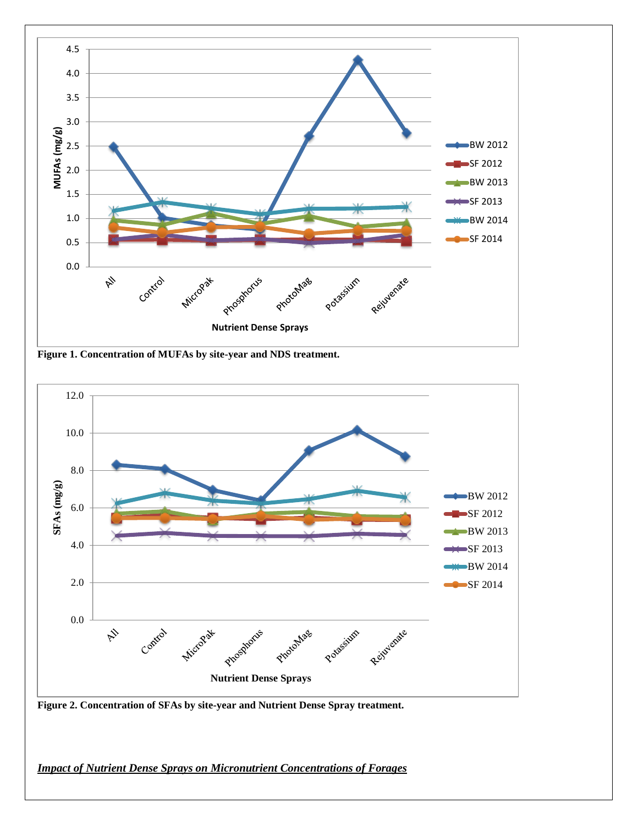

**Figure 1. Concentration of MUFAs by site-year and NDS treatment.** 



**Figure 2. Concentration of SFAs by site-year and Nutrient Dense Spray treatment.** 

*Impact of Nutrient Dense Sprays on Micronutrient Concentrations of Forages*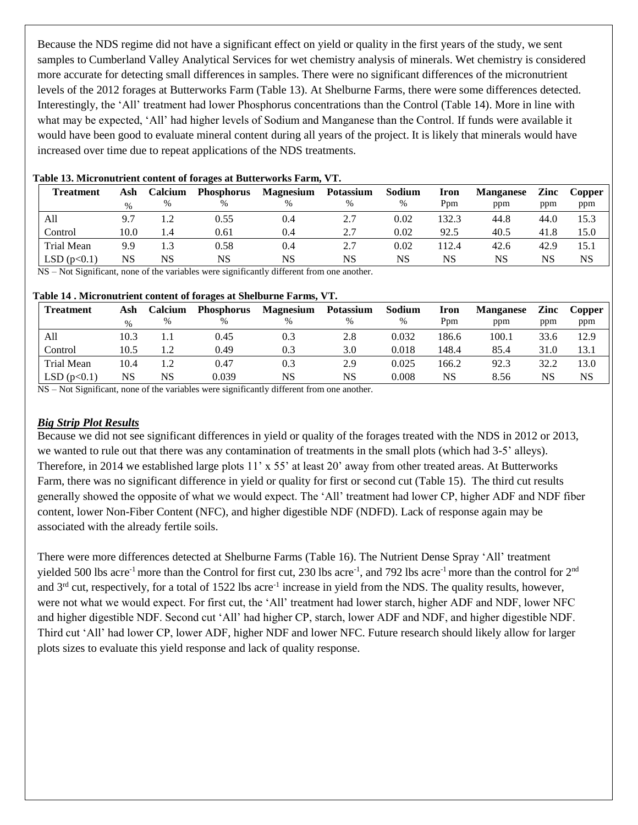Because the NDS regime did not have a significant effect on yield or quality in the first years of the study, we sent samples to Cumberland Valley Analytical Services for wet chemistry analysis of minerals. Wet chemistry is considered more accurate for detecting small differences in samples. There were no significant differences of the micronutrient levels of the 2012 forages at Butterworks Farm (Table 13). At Shelburne Farms, there were some differences detected. Interestingly, the 'All' treatment had lower Phosphorus concentrations than the Control (Table 14). More in line with what may be expected, 'All' had higher levels of Sodium and Manganese than the Control. If funds were available it would have been good to evaluate mineral content during all years of the project. It is likely that minerals would have increased over time due to repeat applications of the NDS treatments.

| <b>Treatment</b> | Ash  | Calcium | <b>Phosphorus</b> | <b>Magnesium</b> | <b>Potassium</b> | Sodium | Iron  | <b>Manganese</b> | Zinc | Copper |
|------------------|------|---------|-------------------|------------------|------------------|--------|-------|------------------|------|--------|
|                  |      | $\%$    | %                 |                  | $\frac{0}{0}$    | $\%$   | Ppm   | ppm              | ppm  | ppm    |
| All              |      |         | 0.55              | 0.4              | 2.7              | 0.02   | 132.3 | 44.8             | 44.0 | 15.3   |
| Control          | 10.0 | l.4     | 0.61              | 0.4              | 2.7              | 0.02   | 92.5  | 40.5             | 41.8 | 15.0   |
| Trial Mean       | 9.9  |         | 0.58              | 0.4              |                  | 0.02   | 112.4 | 42.6             | 42.9 | 15.1   |
| LSD(p<0.1)       | NS   | NS      | NS                | NS               | NS               | NS     | NS    | <b>NS</b>        | NS   | NS     |

#### **Table 13. Micronutrient content of forages at Butterworks Farm, VT.**

NS – Not Significant, none of the variables were significantly different from one another.

#### **Table 14 . Micronutrient content of forages at Shelburne Farms, VT.**

| <b>Treatment</b> | Ash  | Calcium | <b>Phosphorus</b> | <b>Magnesium</b> | <b>Potassium</b> | Sodium | Iron  | <b>Manganese</b> | Zinc | Copper    |
|------------------|------|---------|-------------------|------------------|------------------|--------|-------|------------------|------|-----------|
|                  | $\%$ | %       | $\%$              |                  |                  | %      | Ppm   | ppm              | ppm  | ppm       |
| All              | 10.3 |         | 0.45              | 0.3              | 2.8              | 0.032  | 186.6 | 100.1            | 33.6 | 12.9      |
| Control          | 10.5 |         | 0.49              | 0.3              | 3.0              | 0.018  | 148.4 | 85.4             | 31.0 | 13.1      |
| Trial Mean       | 10.4 |         | 0.47              | 0.3              | 2.9              | 0.025  | 166.2 | 92.3             | 32.2 | 13.0      |
| LSD(p<0.1)       | NS   | NS      | 0.039             | NS               | NS               | 0.008  | NS    | 8.56             | NS   | <b>NS</b> |

NS – Not Significant, none of the variables were significantly different from one another.

## *Big Strip Plot Results*

Because we did not see significant differences in yield or quality of the forages treated with the NDS in 2012 or 2013, we wanted to rule out that there was any contamination of treatments in the small plots (which had 3-5' alleys). Therefore, in 2014 we established large plots 11' x 55' at least 20' away from other treated areas. At Butterworks Farm, there was no significant difference in yield or quality for first or second cut (Table 15). The third cut results generally showed the opposite of what we would expect. The 'All' treatment had lower CP, higher ADF and NDF fiber content, lower Non-Fiber Content (NFC), and higher digestible NDF (NDFD). Lack of response again may be associated with the already fertile soils.

There were more differences detected at Shelburne Farms (Table 16). The Nutrient Dense Spray 'All' treatment yielded 500 lbs acre<sup>-1</sup> more than the Control for first cut, 230 lbs acre<sup>-1</sup>, and 792 lbs acre<sup>-1</sup> more than the control for 2<sup>nd</sup> and  $3<sup>rd</sup>$  cut, respectively, for a total of 1522 lbs acre<sup>-1</sup> increase in yield from the NDS. The quality results, however, were not what we would expect. For first cut, the 'All' treatment had lower starch, higher ADF and NDF, lower NFC and higher digestible NDF. Second cut 'All' had higher CP, starch, lower ADF and NDF, and higher digestible NDF. Third cut 'All' had lower CP, lower ADF, higher NDF and lower NFC. Future research should likely allow for larger plots sizes to evaluate this yield response and lack of quality response.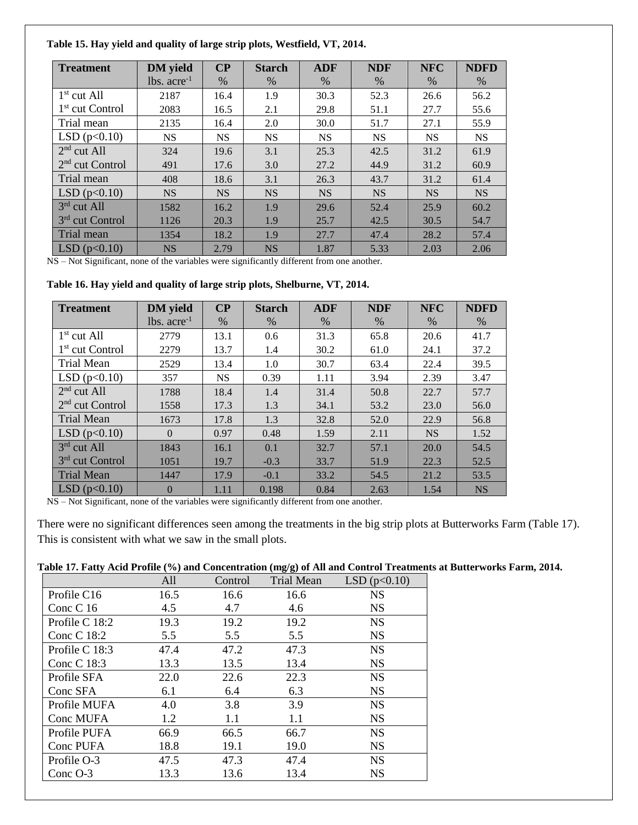#### **Table 15. Hay yield and quality of large strip plots, Westfield, VT, 2014.**

| <b>Treatment</b>            | <b>DM</b> yield  | $\bf CP$  | <b>Starch</b> | <b>ADF</b> | <b>NDF</b> | <b>NFC</b> | <b>NDFD</b> |
|-----------------------------|------------------|-----------|---------------|------------|------------|------------|-------------|
|                             | $lbs. acre^{-1}$ | $\%$      | $\%$          | %          | $\%$       | $\%$       | %           |
| $1st$ cut All               | 2187             | 16.4      | 1.9           | 30.3       | 52.3       | 26.6       | 56.2        |
| 1 <sup>st</sup> cut Control | 2083             | 16.5      | 2.1           | 29.8       | 51.1       | 27.7       | 55.6        |
| Trial mean                  | 2135             | 16.4      | 2.0           | 30.0       | 51.7       | 27.1       | 55.9        |
| LSD(p<0.10)                 | <b>NS</b>        | <b>NS</b> | <b>NS</b>     | <b>NS</b>  | <b>NS</b>  | <b>NS</b>  | <b>NS</b>   |
| $2nd$ cut All               | 324              | 19.6      | 3.1           | 25.3       | 42.5       | 31.2       | 61.9        |
| $2nd$ cut Control           | 491              | 17.6      | 3.0           | 27.2       | 44.9       | 31.2       | 60.9        |
| Trial mean                  | 408              | 18.6      | 3.1           | 26.3       | 43.7       | 31.2       | 61.4        |
| LSD(p<0.10)                 | <b>NS</b>        | <b>NS</b> | <b>NS</b>     | <b>NS</b>  | <b>NS</b>  | <b>NS</b>  | <b>NS</b>   |
| 3rd cut All                 | 1582             | 16.2      | 1.9           | 29.6       | 52.4       | 25.9       | 60.2        |
| 3 <sup>rd</sup> cut Control | 1126             | 20.3      | 1.9           | 25.7       | 42.5       | 30.5       | 54.7        |
| Trial mean                  | 1354             | 18.2      | 1.9           | 27.7       | 47.4       | 28.2       | 57.4        |
| LSD(p<0.10)                 | <b>NS</b>        | 2.79      | <b>NS</b>     | 1.87       | 5.33       | 2.03       | 2.06        |

NS – Not Significant, none of the variables were significantly different from one another.

**Table 16. Hay yield and quality of large strip plots, Shelburne, VT, 2014.**

| <b>Treatment</b>            | <b>DM</b> yield  | CP        | <b>Starch</b> | <b>ADF</b> | <b>NDF</b> | <b>NFC</b> | <b>NDFD</b> |
|-----------------------------|------------------|-----------|---------------|------------|------------|------------|-------------|
|                             | $lbs. acre^{-1}$ | $\%$      | $\%$          | $\%$       | $\%$       | $\%$       | $\%$        |
| $1st$ cut All               | 2779             | 13.1      | 0.6           | 31.3       | 65.8       | 20.6       | 41.7        |
| 1 <sup>st</sup> cut Control | 2279             | 13.7      | 1.4           | 30.2       | 61.0       | 24.1       | 37.2        |
| <b>Trial Mean</b>           | 2529             | 13.4      | 1.0           | 30.7       | 63.4       | 22.4       | 39.5        |
| LSD(p<0.10)                 | 357              | <b>NS</b> | 0.39          | 1.11       | 3.94       | 2.39       | 3.47        |
| $2nd$ cut All               | 1788             | 18.4      | 1.4           | 31.4       | 50.8       | 22.7       | 57.7        |
| $2nd$ cut Control           | 1558             | 17.3      | 1.3           | 34.1       | 53.2       | 23.0       | 56.0        |
| <b>Trial Mean</b>           | 1673             | 17.8      | 1.3           | 32.8       | 52.0       | 22.9       | 56.8        |
| LSD(p<0.10)                 | $\Omega$         | 0.97      | 0.48          | 1.59       | 2.11       | <b>NS</b>  | 1.52        |
| 3rd cut All                 | 1843             | 16.1      | 0.1           | 32.7       | 57.1       | 20.0       | 54.5        |
| 3 <sup>rd</sup> cut Control | 1051             | 19.7      | $-0.3$        | 33.7       | 51.9       | 22.3       | 52.5        |
| <b>Trial Mean</b>           | 1447             | 17.9      | $-0.1$        | 33.2       | 54.5       | 21.2       | 53.5        |
| LSD(p<0.10)                 | $\theta$         | 1.11      | 0.198         | 0.84       | 2.63       | 1.54       | <b>NS</b>   |

NS – Not Significant, none of the variables were significantly different from one another.

There were no significant differences seen among the treatments in the big strip plots at Butterworks Farm (Table 17). This is consistent with what we saw in the small plots.

#### **Table 17. Fatty Acid Profile (%) and Concentration (mg/g) of All and Control Treatments at Butterworks Farm, 2014.**

|                | All  | Control | $\sigma$ $\sigma$<br><b>Trial Mean</b> | LSD $(p<0.10)$ |
|----------------|------|---------|----------------------------------------|----------------|
| Profile C16    | 16.5 | 16.6    | 16.6                                   | <b>NS</b>      |
| Conc C $16$    | 4.5  | 4.7     | 4.6                                    | <b>NS</b>      |
| Profile C 18:2 | 19.3 | 19.2    | 19.2                                   | <b>NS</b>      |
| Conc C 18:2    | 5.5  | 5.5     | 5.5                                    | <b>NS</b>      |
| Profile C 18:3 | 47.4 | 47.2    | 47.3                                   | <b>NS</b>      |
| Conc C 18:3    | 13.3 | 13.5    | 13.4                                   | <b>NS</b>      |
| Profile SFA    | 22.0 | 22.6    | 22.3                                   | <b>NS</b>      |
| Conc SFA       | 6.1  | 6.4     | 6.3                                    | <b>NS</b>      |
| Profile MUFA   | 4.0  | 3.8     | 3.9                                    | <b>NS</b>      |
| Conc MUFA      | 1.2  | 1.1     | 1.1                                    | <b>NS</b>      |
| Profile PUFA   | 66.9 | 66.5    | 66.7                                   | <b>NS</b>      |
| Conc PUFA      | 18.8 | 19.1    | 19.0                                   | <b>NS</b>      |
| Profile O-3    | 47.5 | 47.3    | 47.4                                   | <b>NS</b>      |
| Conc $O-3$     | 13.3 | 13.6    | 13.4                                   | <b>NS</b>      |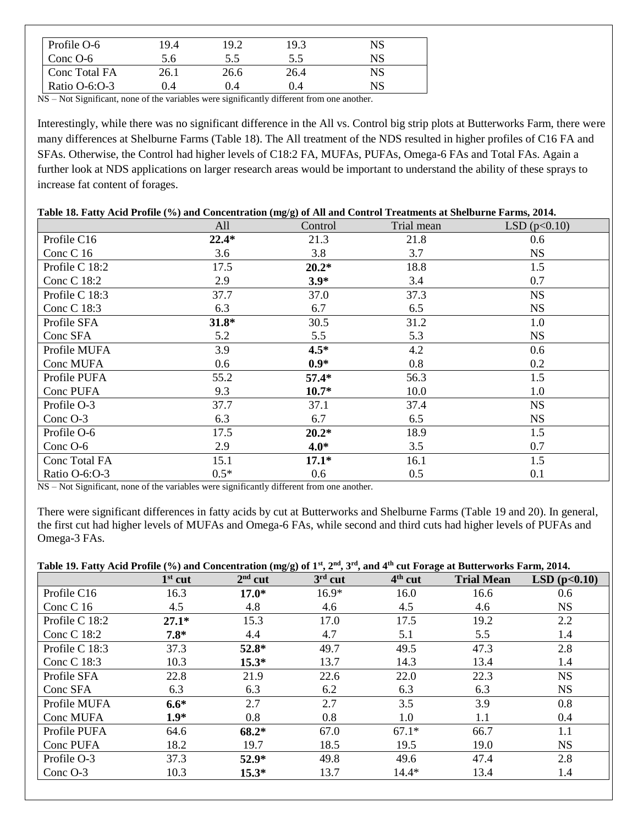| Profile O-6     | 19.4 | 19.2     | 19.3 | NS |
|-----------------|------|----------|------|----|
| Conc $O-6$      | 5.6  | 5.5      | 5.5  | NS |
| Conc Total FA   | 26.1 | 26.6     | 26.4 | NS |
| Ratio $O-6:O-3$ | 0.4  | $(1)$ .4 | 0.4  | NS |

NS – Not Significant, none of the variables were significantly different from one another.

Interestingly, while there was no significant difference in the All vs. Control big strip plots at Butterworks Farm, there were many differences at Shelburne Farms (Table 18). The All treatment of the NDS resulted in higher profiles of C16 FA and SFAs. Otherwise, the Control had higher levels of C18:2 FA, MUFAs, PUFAs, Omega-6 FAs and Total FAs. Again a further look at NDS applications on larger research areas would be important to understand the ability of these sprays to increase fat content of forages.

#### **Table 18. Fatty Acid Profile (%) and Concentration (mg/g) of All and Control Treatments at Shelburne Farms, 2014.**

|                | All     | Control | Trial mean | LSD(p<0.10) |
|----------------|---------|---------|------------|-------------|
| Profile C16    | $22.4*$ | 21.3    | 21.8       | 0.6         |
| Conc C 16      | 3.6     | 3.8     | 3.7        | <b>NS</b>   |
| Profile C 18:2 | 17.5    | $20.2*$ | 18.8       | 1.5         |
| Conc C 18:2    | 2.9     | $3.9*$  | 3.4        | 0.7         |
| Profile C 18:3 | 37.7    | 37.0    | 37.3       | <b>NS</b>   |
| Conc C 18:3    | 6.3     | 6.7     | 6.5        | <b>NS</b>   |
| Profile SFA    | $31.8*$ | 30.5    | 31.2       | 1.0         |
| Conc SFA       | 5.2     | 5.5     | 5.3        | <b>NS</b>   |
| Profile MUFA   | 3.9     | $4.5*$  | 4.2        | 0.6         |
| Conc MUFA      | 0.6     | $0.9*$  | 0.8        | 0.2         |
| Profile PUFA   | 55.2    | $57.4*$ | 56.3       | 1.5         |
| Conc PUFA      | 9.3     | $10.7*$ | 10.0       | 1.0         |
| Profile O-3    | 37.7    | 37.1    | 37.4       | <b>NS</b>   |
| Conc O-3       | 6.3     | 6.7     | 6.5        | <b>NS</b>   |
| Profile O-6    | 17.5    | $20.2*$ | 18.9       | 1.5         |
| Conc O-6       | 2.9     | $4.0*$  | 3.5        | 0.7         |
| Conc Total FA  | 15.1    | $17.1*$ | 16.1       | 1.5         |
| Ratio O-6:O-3  | $0.5*$  | 0.6     | 0.5        | 0.1         |

NS – Not Significant, none of the variables were significantly different from one another.

There were significant differences in fatty acids by cut at Butterworks and Shelburne Farms (Table 19 and 20). In general, the first cut had higher levels of MUFAs and Omega-6 FAs, while second and third cuts had higher levels of PUFAs and Omega-3 FAs.

## **Table 19. Fatty Acid Profile (%) and Concentration (mg/g) of 1st, 2nd, 3rd, and 4th cut Forage at Butterworks Farm, 2014.**

|                | $1st$ cut | $2nd$ cut | $(10)$ and concentration $(10)$ s $(21)$ $(31)$<br>$3rd$ cut | $4th$ cut | <b>Trial Mean</b> | LSD(p<0.10) |
|----------------|-----------|-----------|--------------------------------------------------------------|-----------|-------------------|-------------|
| Profile C16    | 16.3      | $17.0*$   | $16.9*$                                                      | 16.0      | 16.6              | 0.6         |
| Conc C $16$    | 4.5       | 4.8       | 4.6                                                          | 4.5       | 4.6               | <b>NS</b>   |
| Profile C 18:2 | $27.1*$   | 15.3      | 17.0                                                         | 17.5      | 19.2              | 2.2         |
| Conc C 18:2    | $7.8*$    | 4.4       | 4.7                                                          | 5.1       | 5.5               | 1.4         |
| Profile C 18:3 | 37.3      | 52.8*     | 49.7                                                         | 49.5      | 47.3              | 2.8         |
| Conc C 18:3    | 10.3      | $15.3*$   | 13.7                                                         | 14.3      | 13.4              | 1.4         |
| Profile SFA    | 22.8      | 21.9      | 22.6                                                         | 22.0      | 22.3              | <b>NS</b>   |
| Conc SFA       | 6.3       | 6.3       | 6.2                                                          | 6.3       | 6.3               | <b>NS</b>   |
| Profile MUFA   | $6.6*$    | 2.7       | 2.7                                                          | 3.5       | 3.9               | 0.8         |
| Conc MUFA      | $1.9*$    | 0.8       | 0.8                                                          | 1.0       | 1.1               | 0.4         |
| Profile PUFA   | 64.6      | 68.2*     | 67.0                                                         | $67.1*$   | 66.7              | 1.1         |
| Conc PUFA      | 18.2      | 19.7      | 18.5                                                         | 19.5      | 19.0              | <b>NS</b>   |
| Profile O-3    | 37.3      | $52.9*$   | 49.8                                                         | 49.6      | 47.4              | 2.8         |
| Conc O-3       | 10.3      | $15.3*$   | 13.7                                                         | $14.4*$   | 13.4              | 1.4         |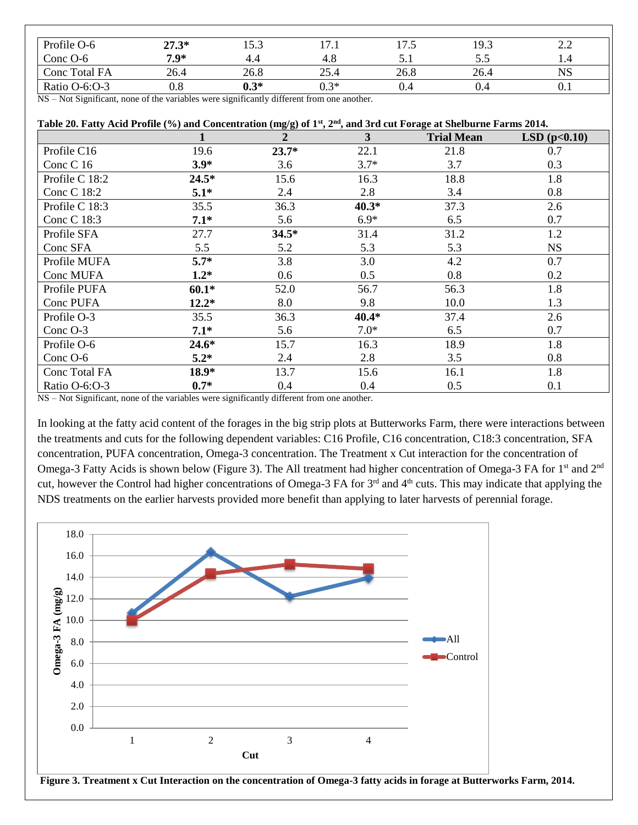| Profile O-6   | $27.3*$            | 15.3              | $\overline{z}$<br>17.I | 17 E<br>ر. ا | 19.3 | $\cap$<br>2.L |
|---------------|--------------------|-------------------|------------------------|--------------|------|---------------|
| Conc $O-6$    | $7.9*$             | 4.4               | 4.8                    | ◡.           | ر. ر |               |
| Conc Total FA | 26.4               | 26.8              | 25.4                   | 26.8         | 26.4 | <b>NS</b>     |
| Ratio O-6:O-3 | $_{0.8}$           | $0.3*$            | $0.3*$                 | 0.4          | J.4  | $0.1\,$       |
| $\mathbf{v}$  | .<br>$\sim$ $\sim$ | $\cdots$ $\cdots$ | $\sim$ $\sim$          |              |      |               |

NS – Not Significant, none of the variables were significantly different from one another.

| Table 20. Fatty Acid Profile (%) and Concentration (mg/g) of $1st$ , $2nd$ , and 3rd cut Forage at Shelburne Farms 2014. |         |                |         |                   |             |  |
|--------------------------------------------------------------------------------------------------------------------------|---------|----------------|---------|-------------------|-------------|--|
|                                                                                                                          |         | $\overline{2}$ | 3       | <b>Trial Mean</b> | LSD(p<0.10) |  |
| Profile C16                                                                                                              | 19.6    | $23.7*$        | 22.1    | 21.8              | 0.7         |  |
| Conc C 16                                                                                                                | $3.9*$  | 3.6            | $3.7*$  | 3.7               | 0.3         |  |
| Profile C 18:2                                                                                                           | $24.5*$ | 15.6           | 16.3    | 18.8              | 1.8         |  |
| Conc C 18:2                                                                                                              | $5.1*$  | 2.4            | 2.8     | 3.4               | 0.8         |  |
| Profile C 18:3                                                                                                           | 35.5    | 36.3           | $40.3*$ | 37.3              | 2.6         |  |
| Conc C 18:3                                                                                                              | $7.1*$  | 5.6            | $6.9*$  | 6.5               | 0.7         |  |
| Profile SFA                                                                                                              | 27.7    | $34.5*$        | 31.4    | 31.2              | 1.2         |  |
| Conc SFA                                                                                                                 | 5.5     | 5.2            | 5.3     | 5.3               | <b>NS</b>   |  |
| Profile MUFA                                                                                                             | $5.7*$  | 3.8            | 3.0     | 4.2               | 0.7         |  |
| Conc MUFA                                                                                                                | $1.2*$  | 0.6            | 0.5     | 0.8               | 0.2         |  |
| Profile PUFA                                                                                                             | $60.1*$ | 52.0           | 56.7    | 56.3              | 1.8         |  |
| Conc PUFA                                                                                                                | $12.2*$ | 8.0            | 9.8     | 10.0              | 1.3         |  |
| Profile O-3                                                                                                              | 35.5    | 36.3           | $40.4*$ | 37.4              | 2.6         |  |
| Conc O-3                                                                                                                 | $7.1*$  | 5.6            | $7.0*$  | 6.5               | 0.7         |  |
| Profile O-6                                                                                                              | $24.6*$ | 15.7           | 16.3    | 18.9              | 1.8         |  |
| Conc O-6                                                                                                                 | $5.2*$  | 2.4            | 2.8     | 3.5               | 0.8         |  |
| Conc Total FA                                                                                                            | $18.9*$ | 13.7           | 15.6    | 16.1              | 1.8         |  |
| Ratio O-6:O-3                                                                                                            | $0.7*$  | 0.4            | 0.4     | 0.5               | 0.1         |  |

NS – Not Significant, none of the variables were significantly different from one another.

In looking at the fatty acid content of the forages in the big strip plots at Butterworks Farm, there were interactions between the treatments and cuts for the following dependent variables: C16 Profile, C16 concentration, C18:3 concentration, SFA concentration, PUFA concentration, Omega-3 concentration. The Treatment x Cut interaction for the concentration of Omega-3 Fatty Acids is shown below (Figure 3). The All treatment had higher concentration of Omega-3 FA for 1<sup>st</sup> and 2<sup>nd</sup> cut, however the Control had higher concentrations of Omega-3 FA for 3<sup>rd</sup> and 4<sup>th</sup> cuts. This may indicate that applying the NDS treatments on the earlier harvests provided more benefit than applying to later harvests of perennial forage.



**Figure 3. Treatment x Cut Interaction on the concentration of Omega-3 fatty acids in forage at Butterworks Farm, 2014.**